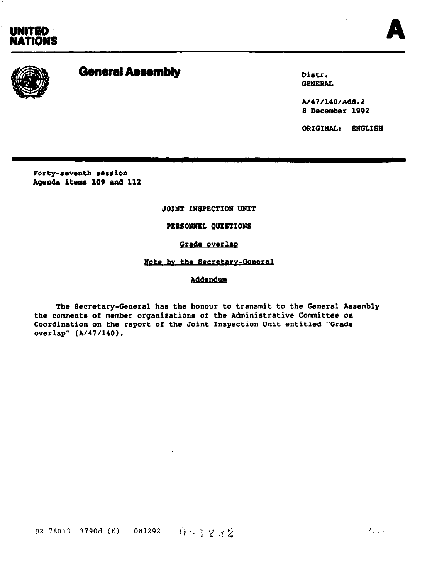UNITED<br>NATIONS UNITED<br>NATIONS





# General Assembly Distribution of the Distribution of the Distribution of the Distribution of the Distribution o

GENERAL

A/47/140/Add.l 8 December 1992

ORIGINAL: ENGLISH

Forty-seventh session Agenda items 109 and 112

JOINT INSPECTION UNIT

PERSONNEL OUESTIONS

## Grade overlap

## Note by the Secretary-General

Addendum

The Secretary-General has the honour to transmit to the General Assembly the comments of member organizatione of the Administrative Committee on Comments of member organizations of the Administrative Committee of Coordination on the report of the Joint Inspection Unit entitled "Grade overlap" (A/47/140).